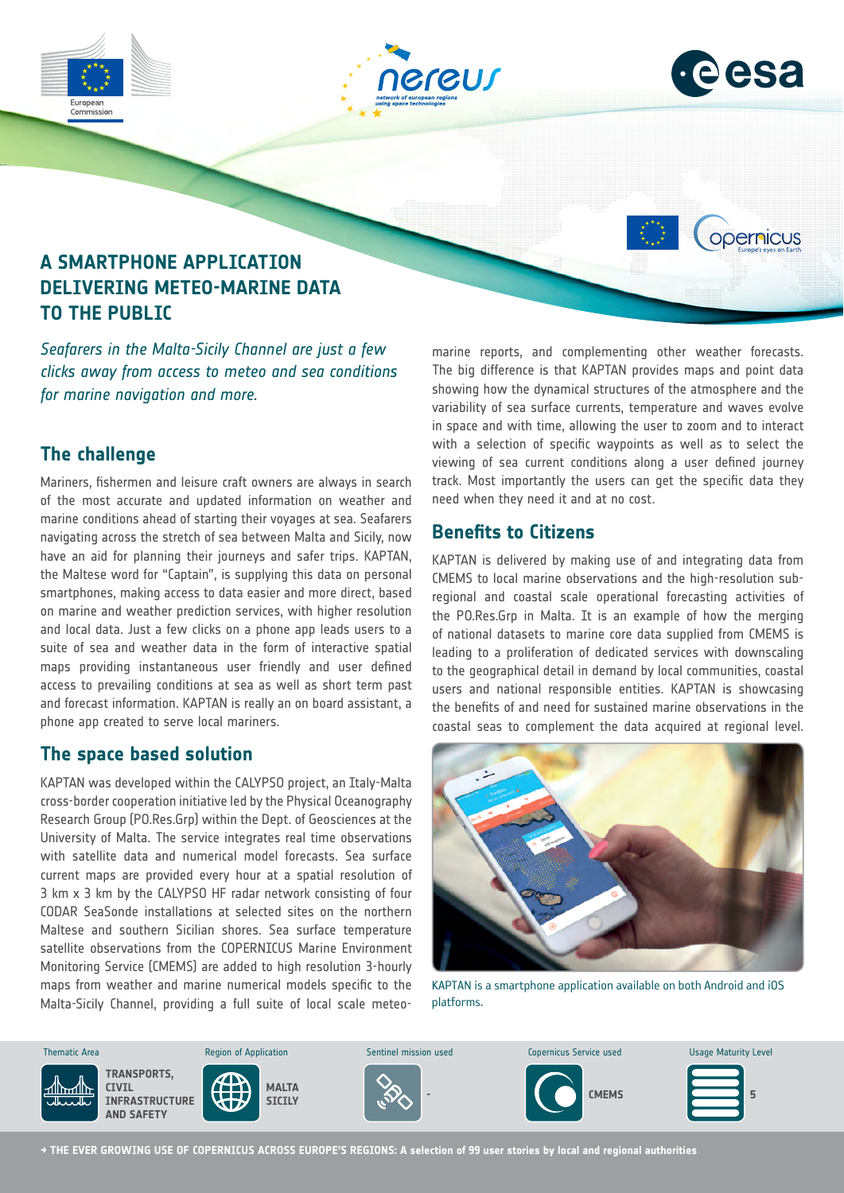

# **The challenge**

Mariners, fishermen and leisure craft owners are always in search of the most accurate and updated information on weather and marine conditions ahead of starting their voyages at sea. Seafarers navigating across the stretch of sea between Malta and Sicily, now have an aid for planning their journeys and safer trips. KAPTAN, the Maltese word for "Captain", is supplying this data on personal smartphones, making access to data easier and more direct, based on marine and weather prediction services, with higher resolution and local data. Just a few clicks on a phone app leads users to a suite of sea and weather data in the form of interactive spatial maps providing instantaneous user friendly and user defined access to prevailing conditions at sea as well as short term past and forecast information. KAPTAN is really an on board assistant, a phone app created to serve local mariners.

## **The space based solution**

KAPTAN was developed within the CALYPSO project, an Italy-Malta cross-border cooperation initiative led by the Physical Oceanography Research Group (PO.Res.Grp) within the Dept. of Geosciences at the University of Malta. The service integrates real time observations with satellite data and numerical model forecasts. Sea surface current maps are provided every hour at a spatial resolution of 3 km x 3 km by the CALYPSO HF radar network consisting of four CODAR SeaSonde installations at selected sites on the northern Maltese and southern Sicilian shores. Sea surface temperature satellite observations from the COPERNICUS Marine Environment Monitoring Service (CMEMS) are added to high resolution 3-hourly maps from weather and marine numerical models specific to the Malta-Sicily Channel, providing a full suite of local scale meteo- $\overline{\phantom{a}}$ 

showing how the dynamical structures of the atmosphere and the variability of sea surface currents, temperature and waves evolve in space and with time, allowing the user to zoom and to interact with a selection of specific waypoints as well as to select the viewing of sea current conditions along a user defined journey track. Most importantly the users can get the specific data they need when they need it and at no cost.

# **Benefits to Citizens**

KAPTAN is delivered by making use of and integrating data from CMEMS to local marine observations and the high-resolution subregional and coastal scale operational forecasting activities of the PO.Res.Grp in Malta. It is an example of how the merging of national datasets to marine core data supplied from CMEMS is leading to a proliferation of dedicated services with downscaling to the geographical detail in demand by local communities, coastal users and national responsible entities. KAPTAN is showcasing the benefits of and need for sustained marine observations in the coastal seas to complement the data acquired at regional level.



KAPTAN is a smartphone application available on both Android and iOS platforms.



**→ THE EVER GROWING USE OF COPERNICUS ACROSS EUROPE'S REGIONS: A selection of 99 user stories by local and regional authorities**